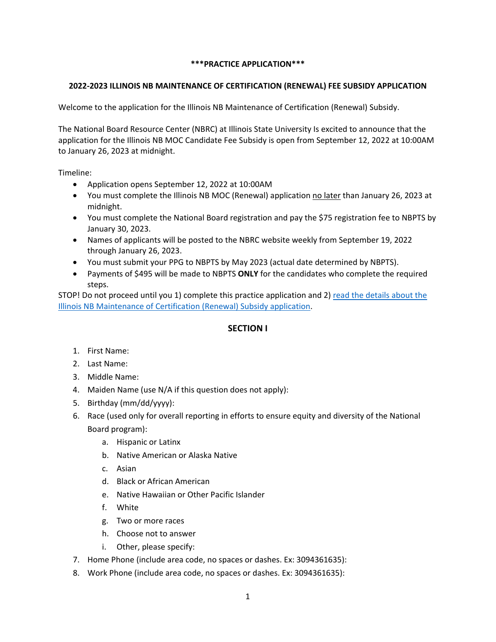## **\*\*\*PRACTICE APPLICATION\*\*\***

## **2022-2023 ILLINOIS NB MAINTENANCE OF CERTIFICATION (RENEWAL) FEE SUBSIDY APPLICATION**

Welcome to the application for the Illinois NB Maintenance of Certification (Renewal) Subsidy.

The National Board Resource Center (NBRC) at Illinois State University Is excited to announce that the application for the Illinois NB MOC Candidate Fee Subsidy is open from September 12, 2022 at 10:00AM to January 26, 2023 at midnight.

Timeline:

- Application opens September 12, 2022 at 10:00AM
- You must complete the Illinois NB MOC (Renewal) application no later than January 26, 2023 at midnight.
- You must complete the National Board registration and pay the \$75 registration fee to NBPTS by January 30, 2023.
- Names of applicants will be posted to the NBRC website weekly from September 19, 2022 through January 26, 2023.
- You must submit your PPG to NBPTS by May 2023 (actual date determined by NBPTS).
- Payments of \$495 will be made to NBPTS **ONLY** for the candidates who complete the required steps.

STOP! Do not proceed until you 1) complete this practice application and 2) [read the details about the](https://nbrc.illinoisstate.edu/renew/index.php)  [Illinois NB Maintenance of Certification \(Renewal\) Subsidy application.](https://nbrc.illinoisstate.edu/renew/index.php) 

# **SECTION I**

- 1. First Name:
- 2. Last Name:
- 3. Middle Name:
- 4. Maiden Name (use N/A if this question does not apply):
- 5. Birthday (mm/dd/yyyy):
- 6. Race (used only for overall reporting in efforts to ensure equity and diversity of the National Board program):
	- a. Hispanic or Latinx
	- b. Native American or Alaska Native
	- c. Asian
	- d. Black or African American
	- e. Native Hawaiian or Other Pacific Islander
	- f. White
	- g. Two or more races
	- h. Choose not to answer
	- i. Other, please specify:
- 7. Home Phone (include area code, no spaces or dashes. Ex: 3094361635):
- 8. Work Phone (include area code, no spaces or dashes. Ex: 3094361635):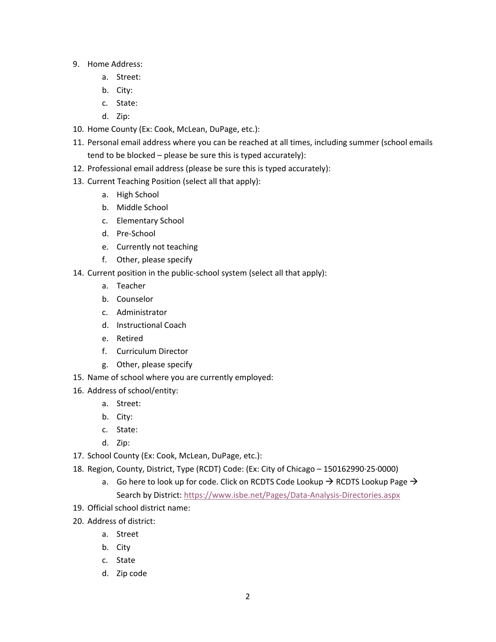- 9. Home Address:
	- a. Street:
	- b. City:
	- c. State:
	- d. Zip:
- 10. Home County (Ex: Cook, McLean, DuPage, etc.):
- 11. Personal email address where you can be reached at all times, including summer (school emails tend to be blocked – please be sure this is typed accurately):
- 12. Professional email address (please be sure this is typed accurately):
- 13. Current Teaching Position (select all that apply):
	- a. High School
	- b. Middle School
	- c. Elementary School
	- d. Pre-School
	- e. Currently not teaching
	- f. Other, please specify
- 14. Current position in the public-school system (select all that apply):
	- a. Teacher
	- b. Counselor
	- c. Administrator
	- d. Instructional Coach
	- e. Retired
	- f. Curriculum Director
	- g. Other, please specify
- 15. Name of school where you are currently employed:
- 16. Address of school/entity:
	- a. Street:
	- b. City:
	- c. State:
	- d. Zip:
- 17. School County (Ex: Cook, McLean, DuPage, etc.):
- 18. Region, County, District, Type (RCDT) Code: (Ex: City of Chicago 150162990·25·0000)
	- a. Go here to look up for code. Click on RCDTS Code Lookup  $\rightarrow$  RCDTS Lookup Page  $\rightarrow$ Search by District:<https://www.isbe.net/Pages/Data-Analysis-Directories.aspx>
- 19. Official school district name:
- 20. Address of district:
	- a. Street
	- b. City
	- c. State
	- d. Zip code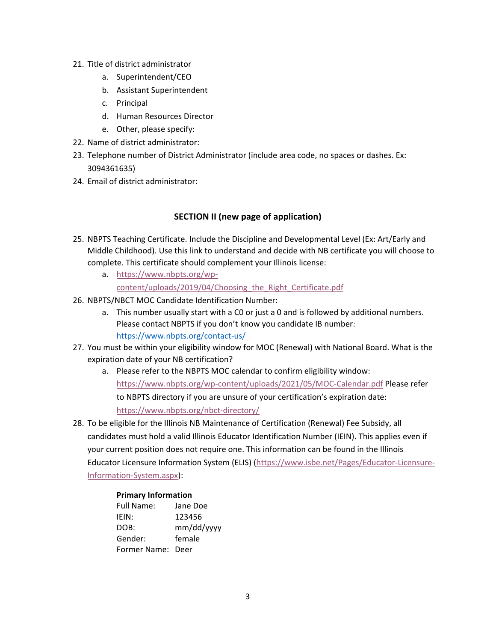- 21. Title of district administrator
	- a. Superintendent/CEO
	- b. Assistant Superintendent
	- c. Principal
	- d. Human Resources Director
	- e. Other, please specify:
- 22. Name of district administrator:
- 23. Telephone number of District Administrator (include area code, no spaces or dashes. Ex: 3094361635)
- 24. Email of district administrator:

# **SECTION II (new page of application)**

- 25. NBPTS Teaching Certificate. Include the Discipline and Developmental Level (Ex: Art/Early and Middle Childhood). Use this link to understand and decide with NB certificate you will choose to complete. This certificate should complement your Illinois license:
	- a. [https://www.nbpts.org/wp](https://www.nbpts.org/wp-content/uploads/2019/04/Choosing_the_Right_Certificate.pdf)[content/uploads/2019/04/Choosing\\_the\\_Right\\_Certificate.pdf](https://www.nbpts.org/wp-content/uploads/2019/04/Choosing_the_Right_Certificate.pdf)
- 26. NBPTS/NBCT MOC Candidate Identification Number:
	- a. This number usually start with a C0 or just a 0 and is followed by additional numbers. Please contact NBPTS if you don't know you candidate IB number: <https://www.nbpts.org/contact-us/>
- 27. You must be within your eligibility window for MOC (Renewal) with National Board. What is the expiration date of your NB certification?
	- a. Please refer to the NBPTS MOC calendar to confirm eligibility window: <https://www.nbpts.org/wp-content/uploads/2021/05/MOC-Calendar.pdf> Please refer to NBPTS directory if you are unsure of your certification's expiration date: <https://www.nbpts.org/nbct-directory/>
- 28. To be eligible for the Illinois NB Maintenance of Certification (Renewal) Fee Subsidy, all candidates must hold a valid Illinois Educator Identification Number (IEIN). This applies even if your current position does not require one. This information can be found in the Illinois Educator Licensure Information System (ELIS) [\(https://www.isbe.net/Pages/Educator-Licensure-](https://www.isbe.net/Pages/Educator-Licensure-Information-System.aspx)[Information-System.aspx\)](https://www.isbe.net/Pages/Educator-Licensure-Information-System.aspx):

#### **Primary Information**

| Full Name:        | Jane Doe   |
|-------------------|------------|
| IEIN:             | 123456     |
| DOB:              | mm/dd/yyyy |
| Gender:           | female     |
| Former Name: Deer |            |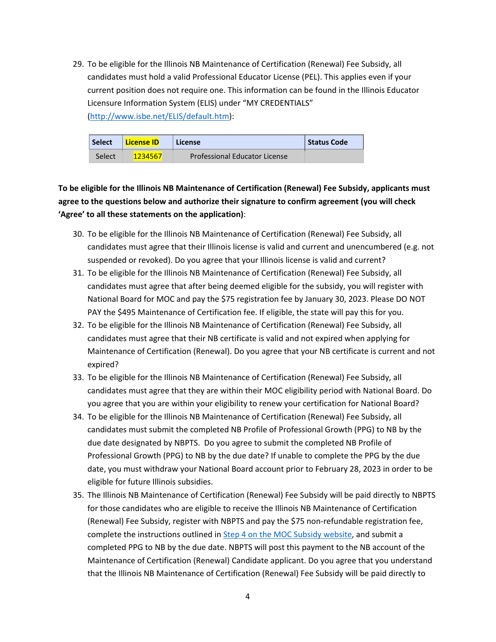29. To be eligible for the Illinois NB Maintenance of Certification (Renewal) Fee Subsidy, all candidates must hold a valid Professional Educator License (PEL). This applies even if your current position does not require one. This information can be found in the Illinois Educator Licensure Information System (ELIS) under "MY CREDENTIALS" [\(http://www.isbe.net/ELIS/default.htm\)](http://www.isbe.net/ELIS/default.htm):

| <b>Select</b> | License ID | License                              | Status Code |
|---------------|------------|--------------------------------------|-------------|
| Select        | 1234567    | <b>Professional Educator License</b> |             |

**To be eligible for the Illinois NB Maintenance of Certification (Renewal) Fee Subsidy, applicants must agree to the questions below and authorize their signature to confirm agreement (you will check 'Agree' to all these statements on the application)**:

- 30. To be eligible for the Illinois NB Maintenance of Certification (Renewal) Fee Subsidy, all candidates must agree that their Illinois license is valid and current and unencumbered (e.g. not suspended or revoked). Do you agree that your Illinois license is valid and current?
- 31. To be eligible for the Illinois NB Maintenance of Certification (Renewal) Fee Subsidy, all candidates must agree that after being deemed eligible for the subsidy, you will register with National Board for MOC and pay the \$75 registration fee by January 30, 2023. Please DO NOT PAY the \$495 Maintenance of Certification fee. If eligible, the state will pay this for you.
- 32. To be eligible for the Illinois NB Maintenance of Certification (Renewal) Fee Subsidy, all candidates must agree that their NB certificate is valid and not expired when applying for Maintenance of Certification (Renewal). Do you agree that your NB certificate is current and not expired?
- 33. To be eligible for the Illinois NB Maintenance of Certification (Renewal) Fee Subsidy, all candidates must agree that they are within their MOC eligibility period with National Board. Do you agree that you are within your eligibility to renew your certification for National Board?
- 34. To be eligible for the Illinois NB Maintenance of Certification (Renewal) Fee Subsidy, all candidates must submit the completed NB Profile of Professional Growth (PPG) to NB by the due date designated by NBPTS. Do you agree to submit the completed NB Profile of Professional Growth (PPG) to NB by the due date? If unable to complete the PPG by the due date, you must withdraw your National Board account prior to February 28, 2023 in order to be eligible for future Illinois subsidies.
- 35. The Illinois NB Maintenance of Certification (Renewal) Fee Subsidy will be paid directly to NBPTS for those candidates who are eligible to receive the Illinois NB Maintenance of Certification (Renewal) Fee Subsidy, register with NBPTS and pay the \$75 non-refundable registration fee, complete the instructions outlined in [Step 4 on the MOC Subsidy website,](https://nbrc.illinoisstate.edu/renew/index.php) and submit a completed PPG to NB by the due date. NBPTS will post this payment to the NB account of the Maintenance of Certification (Renewal) Candidate applicant. Do you agree that you understand that the Illinois NB Maintenance of Certification (Renewal) Fee Subsidy will be paid directly to